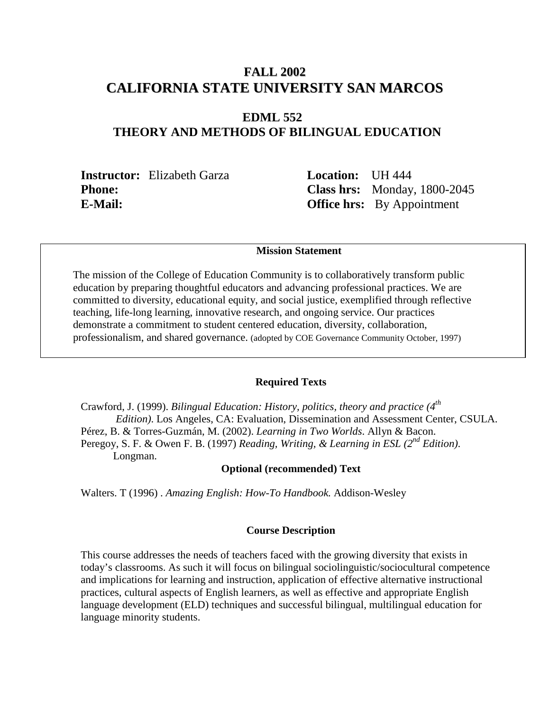# **FALL 2002 CALIFORNIA STATE UNIVERSITY SAN MARCOS**

# **EDML 552 THEORY AND METHODS OF BILINGUAL EDUCATION**

**Instructor:** Elizabeth Garza **Location:** UH 444

**Phone: Class hrs:** Monday, 1800-2045 **E-Mail: Office hrs:** By Appointment

## **Mission Statement**

The mission of the College of Education Community is to collaboratively transform public education by preparing thoughtful educators and advancing professional practices. We are committed to diversity, educational equity, and social justice, exemplified through reflective teaching, life-long learning, innovative research, and ongoing service. Our practices demonstrate a commitment to student centered education, diversity, collaboration, professionalism, and shared governance. (adopted by COE Governance Community October, 1997)

#### **Required Texts**

Crawford, J. (1999). *Bilingual Education: History, politics, theory and practice (4th Edition)*. Los Angeles, CA: Evaluation, Dissemination and Assessment Center, CSULA. Pérez, B. & Torres-Guzmán, M. (2002). *Learning in Two Worlds*. Allyn & Bacon. Peregoy, S. F. & Owen F. B. (1997) *Reading, Writing, & Learning in ESL (2nd Edition)*. Longman.

#### **Optional (recommended) Text**

Walters. T (1996) . *Amazing English: How-To Handbook.* Addison-Wesley

#### **Course Description**

This course addresses the needs of teachers faced with the growing diversity that exists in today's classrooms. As such it will focus on bilingual sociolinguistic/sociocultural competence and implications for learning and instruction, application of effective alternative instructional practices, cultural aspects of English learners, as well as effective and appropriate English language development (ELD) techniques and successful bilingual, multilingual education for language minority students.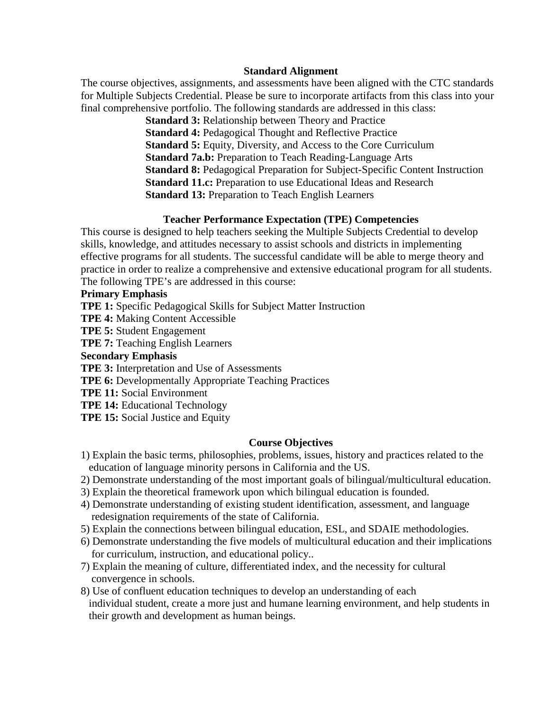### **Standard Alignment**

The course objectives, assignments, and assessments have been aligned with the CTC standards for Multiple Subjects Credential. Please be sure to incorporate artifacts from this class into your final comprehensive portfolio. The following standards are addressed in this class:

> **Standard 3:** Relationship between Theory and Practice **Standard 4:** Pedagogical Thought and Reflective Practice **Standard 5:** Equity, Diversity, and Access to the Core Curriculum **Standard 7a.b:** Preparation to Teach Reading-Language Arts **Standard 8:** Pedagogical Preparation for Subject-Specific Content Instruction **Standard 11.c:** Preparation to use Educational Ideas and Research **Standard 13:** Preparation to Teach English Learners

### **Teacher Performance Expectation (TPE) Competencies**

This course is designed to help teachers seeking the Multiple Subjects Credential to develop skills, knowledge, and attitudes necessary to assist schools and districts in implementing effective programs for all students. The successful candidate will be able to merge theory and practice in order to realize a comprehensive and extensive educational program for all students. The following TPE's are addressed in this course:

### **Primary Emphasis**

**TPE 1:** Specific Pedagogical Skills for Subject Matter Instruction

**TPE 4:** Making Content Accessible

**TPE 5:** Student Engagement

**TPE 7:** Teaching English Learners

**Secondary Emphasis**

**TPE 3:** Interpretation and Use of Assessments

**TPE 6:** Developmentally Appropriate Teaching Practices

**TPE 11:** Social Environment

**TPE 14:** Educational Technology

**TPE 15:** Social Justice and Equity

### **Course Objectives**

- 1) Explain the basic terms, philosophies, problems, issues, history and practices related to the education of language minority persons in California and the US.
- 2) Demonstrate understanding of the most important goals of bilingual/multicultural education.
- 3) Explain the theoretical framework upon which bilingual education is founded.
- 4) Demonstrate understanding of existing student identification, assessment, and language redesignation requirements of the state of California.
- 5) Explain the connections between bilingual education, ESL, and SDAIE methodologies.
- 6) Demonstrate understanding the five models of multicultural education and their implications for curriculum, instruction, and educational policy..
- 7) Explain the meaning of culture, differentiated index, and the necessity for cultural convergence in schools.
- 8) Use of confluent education techniques to develop an understanding of each individual student, create a more just and humane learning environment, and help students in their growth and development as human beings.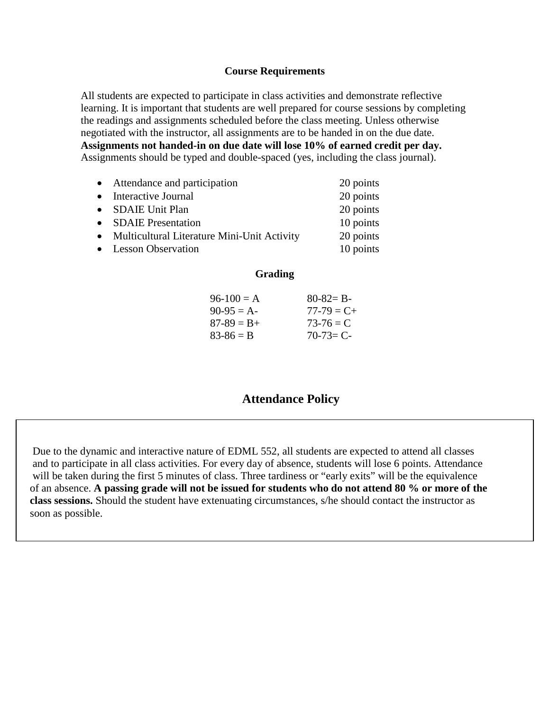### **Course Requirements**

All students are expected to participate in class activities and demonstrate reflective learning. It is important that students are well prepared for course sessions by completing the readings and assignments scheduled before the class meeting. Unless otherwise negotiated with the instructor, all assignments are to be handed in on the due date. **Assignments not handed-in on due date will lose 10% of earned credit per day.** Assignments should be typed and double-spaced (yes, including the class journal).

| • Attendance and participation                | 20 points |
|-----------------------------------------------|-----------|
| • Interactive Journal                         | 20 points |
| • SDAIE Unit Plan                             | 20 points |
| • SDAIE Presentation                          | 10 points |
| • Multicultural Literature Mini-Unit Activity | 20 points |
| • Lesson Observation                          | 10 points |
|                                               |           |

### **Grading**

| $80 - 82 = B -$ |
|-----------------|
| $77 - 79 = C +$ |
| $73-76 = C$     |
| $70 - 73 = C$   |
|                 |

# **Attendance Policy**

 Due to the dynamic and interactive nature of EDML 552, all students are expected to attend all classes and to participate in all class activities. For every day of absence, students will lose 6 points. Attendance will be taken during the first 5 minutes of class. Three tardiness or "early exits" will be the equivalence of an absence. **A passing grade will not be issued for students who do not attend 80 % or more of the class sessions.** Should the student have extenuating circumstances, s/he should contact the instructor as soon as possible.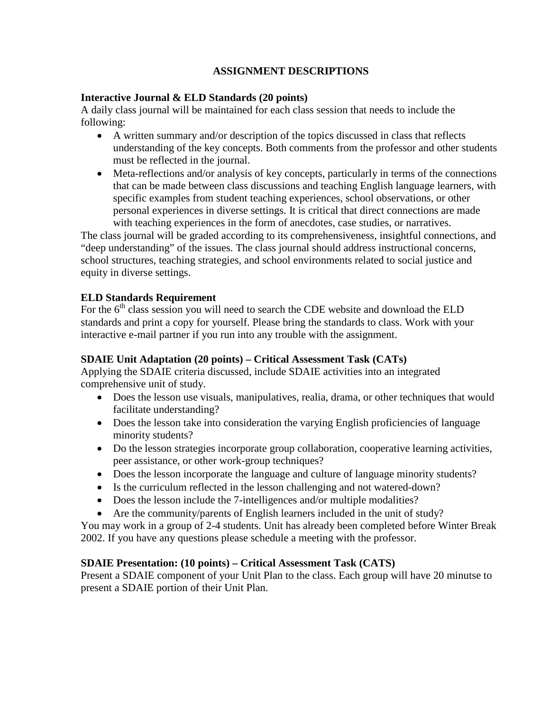## **ASSIGNMENT DESCRIPTIONS**

## **Interactive Journal & ELD Standards (20 points)**

A daily class journal will be maintained for each class session that needs to include the following:

- A written summary and/or description of the topics discussed in class that reflects understanding of the key concepts. Both comments from the professor and other students must be reflected in the journal.
- Meta-reflections and/or analysis of key concepts, particularly in terms of the connections that can be made between class discussions and teaching English language learners, with specific examples from student teaching experiences, school observations, or other personal experiences in diverse settings. It is critical that direct connections are made with teaching experiences in the form of anecdotes, case studies, or narratives.

The class journal will be graded according to its comprehensiveness, insightful connections, and "deep understanding" of the issues. The class journal should address instructional concerns, school structures, teaching strategies, and school environments related to social justice and equity in diverse settings.

### **ELD Standards Requirement**

For the  $6<sup>th</sup>$  class session you will need to search the CDE website and download the ELD standards and print a copy for yourself. Please bring the standards to class. Work with your interactive e-mail partner if you run into any trouble with the assignment.

## **SDAIE Unit Adaptation (20 points) – Critical Assessment Task (CATs)**

Applying the SDAIE criteria discussed, include SDAIE activities into an integrated comprehensive unit of study.

- Does the lesson use visuals, manipulatives, realia, drama, or other techniques that would facilitate understanding?
- Does the lesson take into consideration the varying English proficiencies of language minority students?
- Do the lesson strategies incorporate group collaboration, cooperative learning activities, peer assistance, or other work-group techniques?
- Does the lesson incorporate the language and culture of language minority students?
- Is the curriculum reflected in the lesson challenging and not watered-down?
- Does the lesson include the 7-intelligences and/or multiple modalities?
- Are the community/parents of English learners included in the unit of study?

You may work in a group of 2-4 students. Unit has already been completed before Winter Break 2002. If you have any questions please schedule a meeting with the professor.

## **SDAIE Presentation: (10 points) – Critical Assessment Task (CATS)**

Present a SDAIE component of your Unit Plan to the class. Each group will have 20 minutse to present a SDAIE portion of their Unit Plan.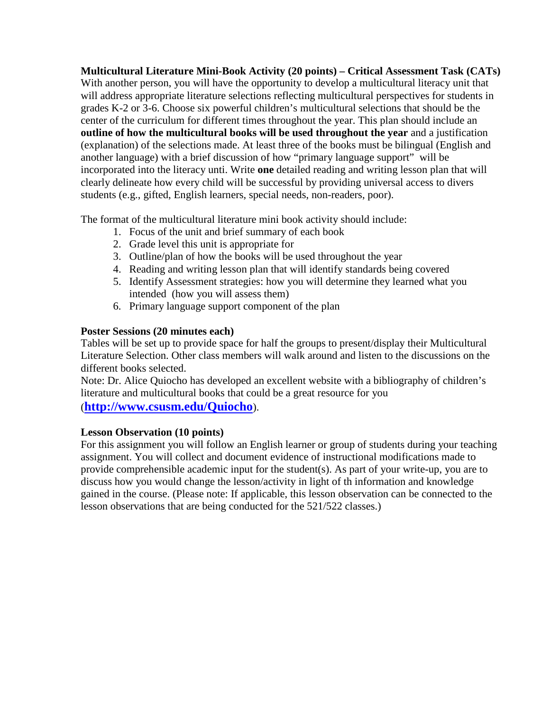**Multicultural Literature Mini-Book Activity (20 points) – Critical Assessment Task (CATs)** With another person, you will have the opportunity to develop a multicultural literacy unit that will address appropriate literature selections reflecting multicultural perspectives for students in grades K-2 or 3-6. Choose six powerful children's multicultural selections that should be the center of the curriculum for different times throughout the year. This plan should include an **outline of how the multicultural books will be used throughout the year** and a justification (explanation) of the selections made. At least three of the books must be bilingual (English and another language) with a brief discussion of how "primary language support" will be incorporated into the literacy unti. Write **one** detailed reading and writing lesson plan that will clearly delineate how every child will be successful by providing universal access to divers students (e.g., gifted, English learners, special needs, non-readers, poor).

The format of the multicultural literature mini book activity should include:

- 1. Focus of the unit and brief summary of each book
- 2. Grade level this unit is appropriate for
- 3. Outline/plan of how the books will be used throughout the year
- 4. Reading and writing lesson plan that will identify standards being covered
- 5. Identify Assessment strategies: how you will determine they learned what you intended (how you will assess them)
- 6. Primary language support component of the plan

## **Poster Sessions (20 minutes each)**

Tables will be set up to provide space for half the groups to present/display their Multicultural Literature Selection. Other class members will walk around and listen to the discussions on the different books selected.

Note: Dr. Alice Quiocho has developed an excellent website with a bibliography of children's literature and multicultural books that could be a great resource for you

(**<http://www.csusm.edu/Quiocho>**).

## **Lesson Observation (10 points)**

For this assignment you will follow an English learner or group of students during your teaching assignment. You will collect and document evidence of instructional modifications made to provide comprehensible academic input for the student(s). As part of your write-up, you are to discuss how you would change the lesson/activity in light of th information and knowledge gained in the course. (Please note: If applicable, this lesson observation can be connected to the lesson observations that are being conducted for the 521/522 classes.)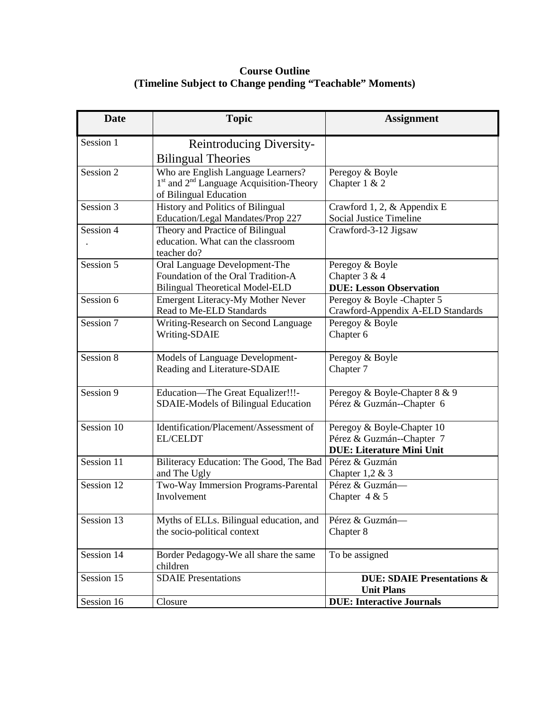## **Course Outline (Timeline Subject to Change pending "Teachable" Moments)**

| <b>Date</b> | <b>Topic</b>                                                         | <b>Assignment</b>                                    |
|-------------|----------------------------------------------------------------------|------------------------------------------------------|
| Session 1   | <b>Reintroducing Diversity-</b>                                      |                                                      |
|             | <b>Bilingual Theories</b>                                            |                                                      |
| Session 2   | Who are English Language Learners?                                   | Peregoy & Boyle                                      |
|             | 1 <sup>st</sup> and 2 <sup>nd</sup> Language Acquisition-Theory      | Chapter $1 & 2$                                      |
|             | of Bilingual Education                                               |                                                      |
| Session 3   | History and Politics of Bilingual                                    | Crawford 1, 2, & Appendix E                          |
|             | Education/Legal Mandates/Prop 227                                    | <b>Social Justice Timeline</b>                       |
| Session 4   | Theory and Practice of Bilingual                                     | Crawford-3-12 Jigsaw                                 |
|             | education. What can the classroom                                    |                                                      |
|             | teacher do?                                                          |                                                      |
| Session 5   | Oral Language Development-The                                        | Peregoy & Boyle                                      |
|             | Foundation of the Oral Tradition-A                                   | Chapter 3 & 4                                        |
| Session 6   | <b>Bilingual Theoretical Model-ELD</b>                               | <b>DUE: Lesson Observation</b>                       |
|             | <b>Emergent Literacy-My Mother Never</b><br>Read to Me-ELD Standards | Peregoy & Boyle -Chapter 5                           |
| Session 7   |                                                                      | Crawford-Appendix A-ELD Standards<br>Peregoy & Boyle |
|             | Writing-Research on Second Language                                  |                                                      |
|             | Writing-SDAIE                                                        | Chapter 6                                            |
| Session 8   | Models of Language Development-                                      | Peregoy & Boyle                                      |
|             | Reading and Literature-SDAIE                                         | Chapter 7                                            |
| Session 9   | Education-The Great Equalizer!!!-                                    | Peregoy & Boyle-Chapter 8 & 9                        |
|             | <b>SDAIE-Models of Bilingual Education</b>                           | Pérez & Guzmán--Chapter 6                            |
| Session 10  | Identification/Placement/Assessment of                               | Peregoy & Boyle-Chapter 10                           |
|             | <b>EL/CELDT</b>                                                      | Pérez & Guzmán--Chapter 7                            |
|             |                                                                      | <b>DUE: Literature Mini Unit</b>                     |
| Session 11  | Biliteracy Education: The Good, The Bad                              | Pérez & Guzmán                                       |
|             | and The Ugly                                                         | Chapter $1,2 \& 3$                                   |
| Session 12  | Two-Way Immersion Programs-Parental                                  | Pérez & Guzmán-                                      |
|             | Involvement                                                          | Chapter $4 & 5$                                      |
| Session 13  | Myths of ELLs. Bilingual education, and                              | Pérez & Guzmán-                                      |
|             | the socio-political context                                          | Chapter 8                                            |
| Session 14  | Border Pedagogy-We all share the same                                | To be assigned                                       |
|             | children                                                             |                                                      |
| Session 15  | <b>SDAIE</b> Presentations                                           | <b>DUE: SDAIE Presentations &amp;</b>                |
|             |                                                                      | <b>Unit Plans</b>                                    |
| Session 16  | Closure                                                              | <b>DUE: Interactive Journals</b>                     |